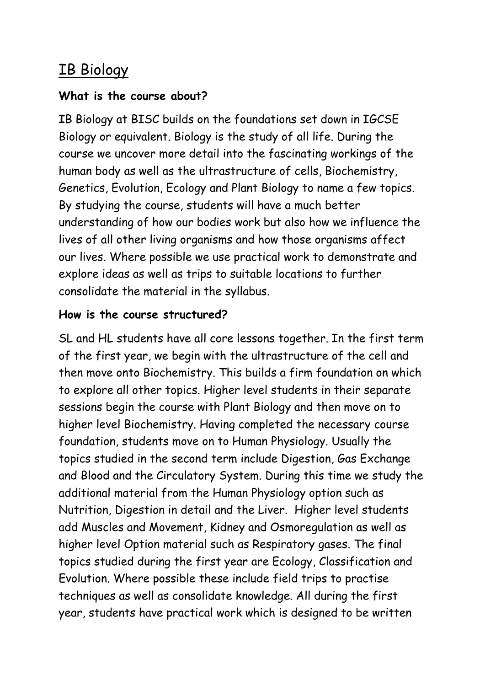# IB Biology

#### **What is the course about?**

**I**B Biology at BISC builds on the foundations set down in IGCSE Biology or equivalent. Biology is the study of all life. During the course we uncover more detail into the fascinating workings of the human body as well as the ultrastructure of cells, Biochemistry, Genetics, Evolution, Ecology and Plant Biology to name a few topics. By studying the course, students will have a much better understanding of how our bodies work but also how we influence the lives of all other living organisms and how those organisms affect our lives. Where possible we use practical work to demonstrate and explore ideas as well as trips to suitable locations to further consolidate the material in the syllabus.

### **How is the course structured?**

SL and HL students have all core lessons together. In the first term of the first year, we begin with the ultrastructure of the cell and then move onto Biochemistry. This builds a firm foundation on which to explore all other topics. Higher level students in their separate sessions begin the course with Plant Biology and then move on to higher level Biochemistry. Having completed the necessary course foundation, students move on to Human Physiology. Usually the topics studied in the second term include Digestion, Gas Exchange and Blood and the Circulatory System. During this time we study the additional material from the Human Physiology option such as Nutrition, Digestion in detail and the Liver. Higher level students add Muscles and Movement, Kidney and Osmoregulation as well as higher level Option material such as Respiratory gases. The final topics studied during the first year are Ecology, Classification and Evolution. Where possible these include field trips to practise techniques as well as consolidate knowledge. All during the first year, students have practical work which is designed to be written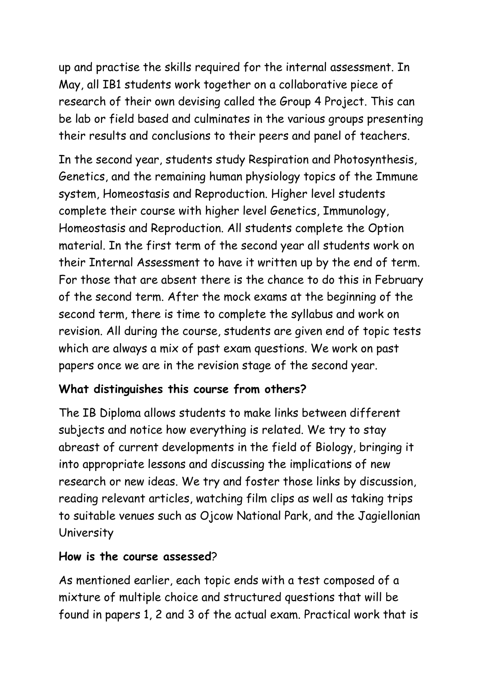up and practise the skills required for the internal assessment. In May, all IB1 students work together on a collaborative piece of research of their own devising called the Group 4 Project. This can be lab or field based and culminates in the various groups presenting their results and conclusions to their peers and panel of teachers.

In the second year, students study Respiration and Photosynthesis, Genetics, and the remaining human physiology topics of the Immune system, Homeostasis and Reproduction. Higher level students complete their course with higher level Genetics, Immunology, Homeostasis and Reproduction. All students complete the Option material. In the first term of the second year all students work on their Internal Assessment to have it written up by the end of term. For those that are absent there is the chance to do this in February of the second term. After the mock exams at the beginning of the second term, there is time to complete the syllabus and work on revision. All during the course, students are given end of topic tests which are always a mix of past exam questions. We work on past papers once we are in the revision stage of the second year.

### **What distinguishes this course from others?**

The IB Diploma allows students to make links between different subjects and notice how everything is related. We try to stay abreast of current developments in the field of Biology, bringing it into appropriate lessons and discussing the implications of new research or new ideas. We try and foster those links by discussion, reading relevant articles, watching film clips as well as taking trips to suitable venues such as Ojcow National Park, and the Jagiellonian University

### **How is the course assessed**?

As mentioned earlier, each topic ends with a test composed of a mixture of multiple choice and structured questions that will be found in papers 1, 2 and 3 of the actual exam. Practical work that is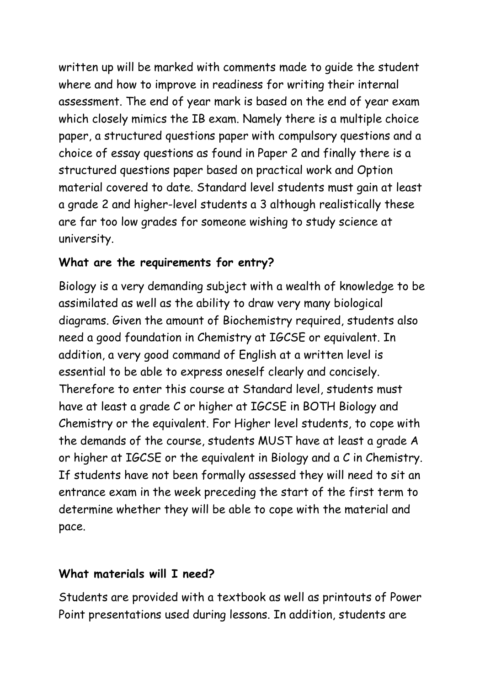written up will be marked with comments made to guide the student where and how to improve in readiness for writing their internal assessment. The end of year mark is based on the end of year exam which closely mimics the IB exam. Namely there is a multiple choice paper, a structured questions paper with compulsory questions and a choice of essay questions as found in Paper 2 and finally there is a structured questions paper based on practical work and Option material covered to date. Standard level students must gain at least a grade 2 and higher-level students a 3 although realistically these are far too low grades for someone wishing to study science at university.

### **What are the requirements for entry?**

Biology is a very demanding subject with a wealth of knowledge to be assimilated as well as the ability to draw very many biological diagrams. Given the amount of Biochemistry required, students also need a good foundation in Chemistry at IGCSE or equivalent. In addition, a very good command of English at a written level is essential to be able to express oneself clearly and concisely. Therefore to enter this course at Standard level, students must have at least a grade C or higher at IGCSE in BOTH Biology and Chemistry or the equivalent. For Higher level students, to cope with the demands of the course, students MUST have at least a grade A or higher at IGCSE or the equivalent in Biology and a C in Chemistry. If students have not been formally assessed they will need to sit an entrance exam in the week preceding the start of the first term to determine whether they will be able to cope with the material and pace.

### **What materials will I need?**

Students are provided with a textbook as well as printouts of Power Point presentations used during lessons. In addition, students are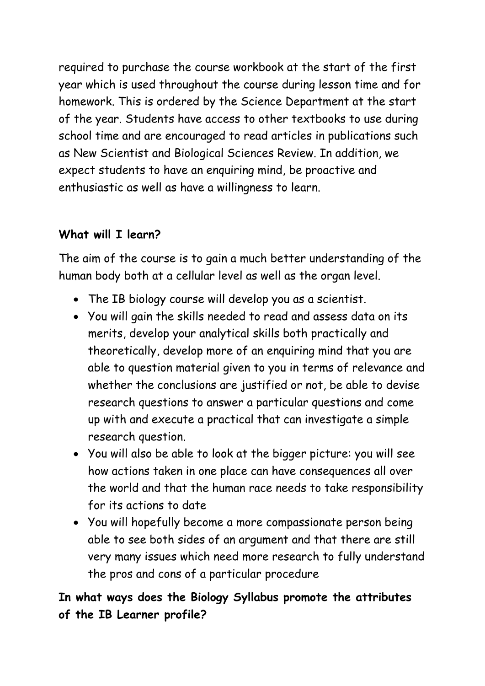required to purchase the course workbook at the start of the first year which is used throughout the course during lesson time and for homework. This is ordered by the Science Department at the start of the year. Students have access to other textbooks to use during school time and are encouraged to read articles in publications such as New Scientist and Biological Sciences Review. In addition, we expect students to have an enquiring mind, be proactive and enthusiastic as well as have a willingness to learn.

### **What will I learn?**

The aim of the course is to gain a much better understanding of the human body both at a cellular level as well as the organ level.

- The IB biology course will develop you as a scientist.
- You will gain the skills needed to read and assess data on its merits, develop your analytical skills both practically and theoretically, develop more of an enquiring mind that you are able to question material given to you in terms of relevance and whether the conclusions are justified or not, be able to devise research questions to answer a particular questions and come up with and execute a practical that can investigate a simple research question.
- You will also be able to look at the bigger picture: you will see how actions taken in one place can have consequences all over the world and that the human race needs to take responsibility for its actions to date
- You will hopefully become a more compassionate person being able to see both sides of an argument and that there are still very many issues which need more research to fully understand the pros and cons of a particular procedure

**In what ways does the Biology Syllabus promote the attributes of the IB Learner profile?**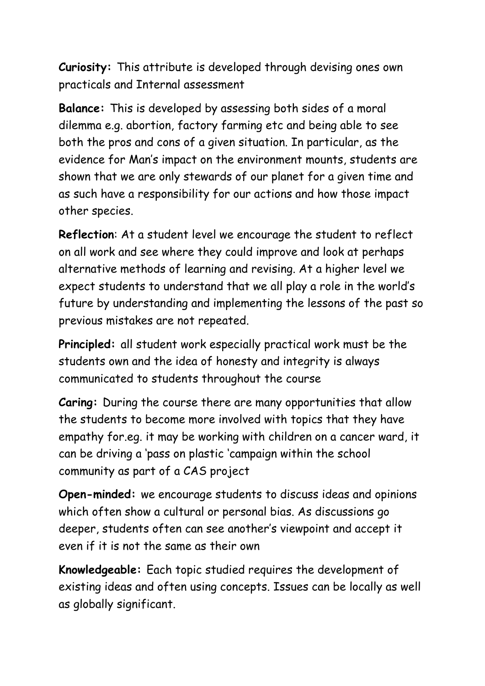**Curiosity:** This attribute is developed through devising ones own practicals and Internal assessment

**Balance:** This is developed by assessing both sides of a moral dilemma e.g. abortion, factory farming etc and being able to see both the pros and cons of a given situation. In particular, as the evidence for Man's impact on the environment mounts, students are shown that we are only stewards of our planet for a given time and as such have a responsibility for our actions and how those impact other species.

**Reflection**: At a student level we encourage the student to reflect on all work and see where they could improve and look at perhaps alternative methods of learning and revising. At a higher level we expect students to understand that we all play a role in the world's future by understanding and implementing the lessons of the past so previous mistakes are not repeated.

**Principled:** all student work especially practical work must be the students own and the idea of honesty and integrity is always communicated to students throughout the course

**Caring:** During the course there are many opportunities that allow the students to become more involved with topics that they have empathy for.eg. it may be working with children on a cancer ward, it can be driving a 'pass on plastic 'campaign within the school community as part of a CAS project

**Open-minded:** we encourage students to discuss ideas and opinions which often show a cultural or personal bias. As discussions go deeper, students often can see another's viewpoint and accept it even if it is not the same as their own

**Knowledgeable:** Each topic studied requires the development of existing ideas and often using concepts. Issues can be locally as well as globally significant.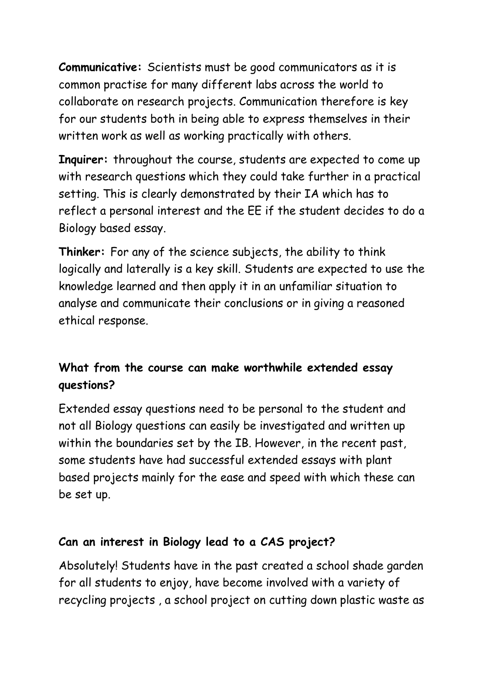**Communicative:** Scientists must be good communicators as it is common practise for many different labs across the world to collaborate on research projects. Communication therefore is key for our students both in being able to express themselves in their written work as well as working practically with others.

**Inquirer:** throughout the course, students are expected to come up with research questions which they could take further in a practical setting. This is clearly demonstrated by their IA which has to reflect a personal interest and the EE if the student decides to do a Biology based essay.

**Thinker:** For any of the science subjects, the ability to think logically and laterally is a key skill. Students are expected to use the knowledge learned and then apply it in an unfamiliar situation to analyse and communicate their conclusions or in giving a reasoned ethical response.

## **What from the course can make worthwhile extended essay questions?**

Extended essay questions need to be personal to the student and not all Biology questions can easily be investigated and written up within the boundaries set by the IB. However, in the recent past, some students have had successful extended essays with plant based projects mainly for the ease and speed with which these can be set up.

### **Can an interest in Biology lead to a CAS project?**

Absolutely! Students have in the past created a school shade garden for all students to enjoy, have become involved with a variety of recycling projects , a school project on cutting down plastic waste as